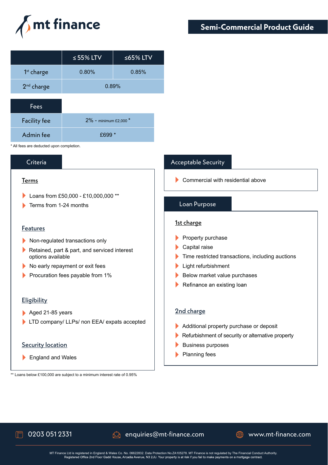

|                        | $\leq$ 55% LTV | ≤65% LTV |
|------------------------|----------------|----------|
| 1 <sup>st</sup> charge | 0.80%          | 0.85%    |
| 2 <sup>nd</sup> charge | 0.89%          |          |
|                        |                |          |

| Fees                |                            |
|---------------------|----------------------------|
| <b>Facility fee</b> | $2\%$ - minimum £2.000 $*$ |
| Admin fee           | £699 F                     |

\* All fees are deducted upon completion.

### Criteria

### Terms

- Loans from £50,000 £10,000,000 \*\*
- **Terms from 1-24 months**

### Features

- Non-regulated transactions only
- Retained, part & part, and serviced interest options available
- No early repayment or exit fees
- Procuration fees payable from 1%

### **Eligibility**

- Aged 21-85 years
- LTD company/ LLPs/ non EEA/ expats accepted

### **Security location**

England and Wales

### \*\* Loans below £100,000 are subject to a minimum interest rate of 0.95%

## Acceptable Security

Commercial with residential above

### Loan Purpose

### 1st charge

- $\blacktriangleright$  Property purchase
- Capital raise
- Time restricted transactions, including auctions
- Light refurbishment
- Below market value purchases
- Refinance an existing loan

### 2nd charge

- Additional property purchase or deposit
- Refurbishment of security or alternative property
- Business purposes
- **Planning fees**



# $\Box$  0203 051 2331  $\Box$  enquiries@mt-finance.com  $\Box$  www.mt-finance.com

MT Finance Ltd is registered in England & Wales Co. No. 06622832. Data Protection No. ZA105278. MT Finance is not regulated by The Financial Conduct Authority.<br>Registered Office 2nd Floor Gadd House, Arcadia Avenue, N3 2JU